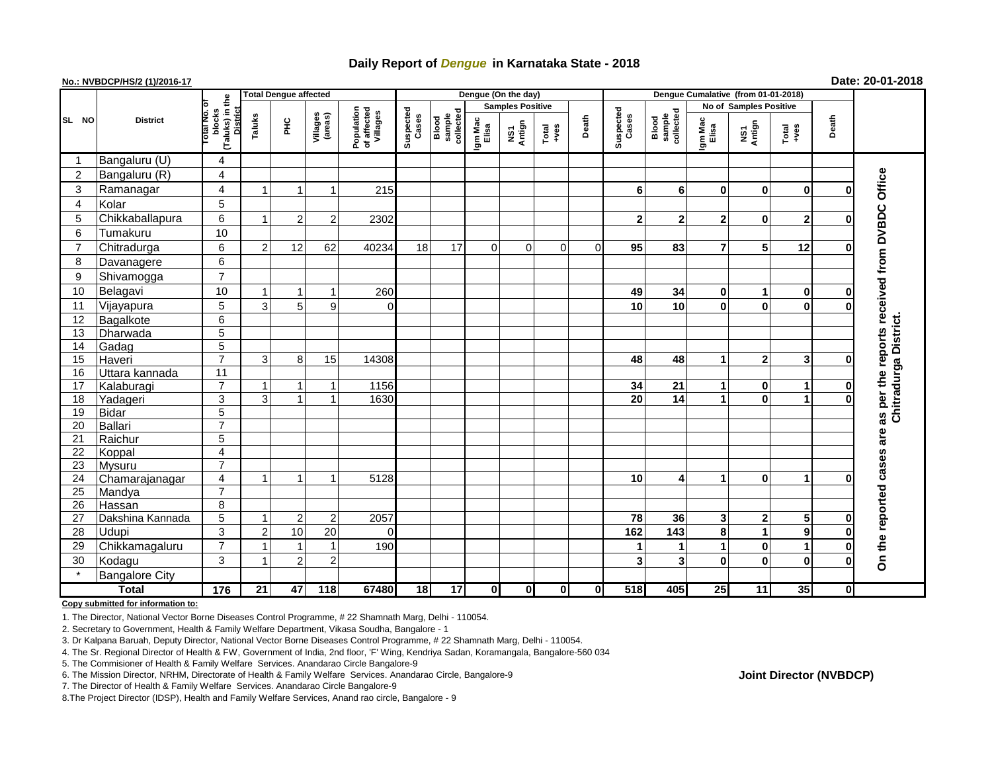# **Daily Report of** *Dengue* **in Karnataka State - 2018**

## **No.: NVBDCP/HS/2 (1)/2016-17 Date: 20-01-2018**

|                | <b>District</b>       |                                                     | <b>Total Dengue affected</b> |                |                     |                                       |                    |                              |                  | Dengue (On the day)     |               |             |                    |                              |                               |               |                |          |                                               |
|----------------|-----------------------|-----------------------------------------------------|------------------------------|----------------|---------------------|---------------------------------------|--------------------|------------------------------|------------------|-------------------------|---------------|-------------|--------------------|------------------------------|-------------------------------|---------------|----------------|----------|-----------------------------------------------|
| SL NO          |                       |                                                     |                              |                |                     |                                       |                    |                              |                  | <b>Samples Positive</b> |               |             |                    |                              | <b>No of Samples Positive</b> |               |                |          |                                               |
|                |                       | (Taluks) in the<br>otal No. 0<br>District<br>blocks | Taluks                       | Ξ              | Villages<br>(areas) | Population<br>of affected<br>Villages | Suspected<br>Cases | sample<br>collected<br>Blood | Igm Mac<br>Elisa | NS1<br>Antign           | Total<br>+ves | Death       | Suspected<br>Cases | sample<br>collected<br>Blood | Igm Mac<br>Elisa              | NS1<br>Antign | Total<br>+ves  | Death    |                                               |
|                | Bangaluru (U)         | 4                                                   |                              |                |                     |                                       |                    |                              |                  |                         |               |             |                    |                              |                               |               |                |          |                                               |
| 2              | Bangaluru (R)         | $\overline{\mathbf{4}}$                             |                              |                |                     |                                       |                    |                              |                  |                         |               |             |                    |                              |                               |               |                |          |                                               |
| 3              | Ramanagar             | $\overline{\mathbf{4}}$                             |                              |                | -1                  | 215                                   |                    |                              |                  |                         |               |             | 6                  | 6                            | $\mathbf{0}$                  | 0             | $\mathbf 0$    | $\bf{0}$ | as per the reports received from DVBDC Office |
| $\overline{4}$ | Kolar                 | 5                                                   |                              |                |                     |                                       |                    |                              |                  |                         |               |             |                    |                              |                               |               |                |          |                                               |
| 5              | Chikkaballapura       | 6                                                   |                              | $\overline{2}$ | $\overline{2}$      | 2302                                  |                    |                              |                  |                         |               |             | $\overline{2}$     | $\overline{2}$               | $\mathbf{2}$                  | 0             | $\overline{2}$ | U        |                                               |
| 6              | Tumakuru              | 10                                                  |                              |                |                     |                                       |                    |                              |                  |                         |               |             |                    |                              |                               |               |                |          |                                               |
| $\overline{7}$ | Chitradurga           | 6                                                   | 2                            | 12             | 62                  | 40234                                 | 18                 | 17                           | $\Omega$         | $\mathbf 0$             | $\Omega$      | $\mathbf 0$ | 95                 | 83                           | $\overline{7}$                | 5             | 12             | 0        |                                               |
| 8              | Davanagere            | 6                                                   |                              |                |                     |                                       |                    |                              |                  |                         |               |             |                    |                              |                               |               |                |          |                                               |
| 9              | Shivamogga            | $\overline{7}$                                      |                              |                |                     |                                       |                    |                              |                  |                         |               |             |                    |                              |                               |               |                |          |                                               |
| 10             | Belagavi              | 10                                                  |                              |                |                     | 260                                   |                    |                              |                  |                         |               |             | 49                 | 34                           | $\mathbf{0}$                  | 1             | $\mathbf 0$    | 0        |                                               |
| 11             | Vijayapura            | 5                                                   | 3                            | 5              | 9                   | $\Omega$                              |                    |                              |                  |                         |               |             | 10                 | 10                           | $\bf{0}$                      | 0             | $\bf{0}$       | 0        |                                               |
| 12             | Bagalkote             | $6\overline{6}$                                     |                              |                |                     |                                       |                    |                              |                  |                         |               |             |                    |                              |                               |               |                |          |                                               |
| 13             | Dharwada              | $\overline{5}$                                      |                              |                |                     |                                       |                    |                              |                  |                         |               |             |                    |                              |                               |               |                |          |                                               |
| 14             | Gadag                 | $\overline{5}$                                      |                              |                |                     |                                       |                    |                              |                  |                         |               |             |                    |                              |                               |               |                |          |                                               |
| 15             | Haveri                | $\overline{7}$                                      | 3                            | 8              | 15                  | 14308                                 |                    |                              |                  |                         |               |             | 48                 | 48                           | $\blacktriangleleft$          | $\mathbf 2$   | $\mathbf{3}$   | $\bf{0}$ | Chitradurga District.                         |
| 16             | Uttara kannada        | $\overline{11}$                                     |                              |                |                     |                                       |                    |                              |                  |                         |               |             |                    |                              |                               |               |                |          |                                               |
| 17             | Kalaburagi            | $\overline{7}$                                      |                              | 1              | -1                  | 1156                                  |                    |                              |                  |                         |               |             | 34                 | 21                           | 1                             | 0             | 1              | 0        |                                               |
| 18             | Yadageri              | 3                                                   | 3                            | $\overline{1}$ | $\overline{ }$      | 1630                                  |                    |                              |                  |                         |               |             | 20                 | 14                           | $\blacktriangleleft$          | $\mathbf 0$   | 1              | 0        |                                               |
| 19             | <b>Bidar</b>          | $\overline{5}$                                      |                              |                |                     |                                       |                    |                              |                  |                         |               |             |                    |                              |                               |               |                |          |                                               |
| 20             | Ballari               | $\overline{7}$                                      |                              |                |                     |                                       |                    |                              |                  |                         |               |             |                    |                              |                               |               |                |          |                                               |
| 21             | Raichur               | 5                                                   |                              |                |                     |                                       |                    |                              |                  |                         |               |             |                    |                              |                               |               |                |          | are                                           |
| 22             | Koppal                | $\overline{\mathbf{4}}$                             |                              |                |                     |                                       |                    |                              |                  |                         |               |             |                    |                              |                               |               |                |          |                                               |
| 23             | <b>Mysuru</b>         | $\overline{7}$                                      |                              |                |                     |                                       |                    |                              |                  |                         |               |             |                    |                              |                               |               |                |          |                                               |
| 24             | Chamarajanagar        | $\overline{\mathbf{4}}$                             |                              | $\mathbf 1$    | -1                  | 5128                                  |                    |                              |                  |                         |               |             | 10                 | 4                            | 1                             | 0             | 1              | ŋ        |                                               |
| 25             | Mandya                | $\overline{7}$                                      |                              |                |                     |                                       |                    |                              |                  |                         |               |             |                    |                              |                               |               |                |          |                                               |
| 26             | Hassan                | 8                                                   |                              |                |                     |                                       |                    |                              |                  |                         |               |             |                    |                              |                               |               |                |          |                                               |
| 27             | Dakshina Kannada      | $\overline{5}$                                      |                              | $\overline{2}$ | $\overline{2}$      | 2057                                  |                    |                              |                  |                         |               |             | 78                 | 36                           | 3 <sup>1</sup>                | $\mathbf 2$   | 5              | 0        |                                               |
| 28             | <b>Udupi</b>          | 3                                                   | 2                            | 10             | 20                  | $\Omega$                              |                    |                              |                  |                         |               |             | 162                | 143                          | 8                             | 1             | $\mathbf{9}$   | $\bf{0}$ |                                               |
| 29             | Chikkamagaluru        | $\overline{7}$                                      |                              |                | $\overline{1}$      | 190                                   |                    |                              |                  |                         |               |             | 1                  | 1                            |                               | 0             | 1              | 0        | On the reported cases                         |
| 30             | Kodagu                | 3                                                   |                              | $\overline{2}$ | $\overline{c}$      |                                       |                    |                              |                  |                         |               |             | 3                  | 3                            | $\mathbf 0$                   | 0             | $\bf{0}$       | 0        |                                               |
|                | <b>Bangalore City</b> |                                                     |                              |                |                     |                                       |                    |                              |                  |                         |               |             |                    |                              |                               |               |                |          |                                               |
| <b>Total</b>   |                       | 176                                                 | 21                           | 47             | 118                 | 67480                                 | 18                 | 17                           | 0                | $\mathbf{0}$            | $\mathbf{0}$  | $\pmb{0}$   | 518                | 405                          | 25                            | 11            | 35             | 0l       |                                               |

**Copy submitted for information to:**

1. The Director, National Vector Borne Diseases Control Programme, # 22 Shamnath Marg, Delhi - 110054.

2. Secretary to Government, Health & Family Welfare Department, Vikasa Soudha, Bangalore - 1

3. Dr Kalpana Baruah, Deputy Director, National Vector Borne Diseases Control Programme, # 22 Shamnath Marg, Delhi - 110054.

4. The Sr. Regional Director of Health & FW, Government of India, 2nd floor, 'F' Wing, Kendriya Sadan, Koramangala, Bangalore-560 034

5. The Commisioner of Health & Family Welfare Services. Anandarao Circle Bangalore-9

7. The Director of Health & Family Welfare Services. Anandarao Circle Bangalore-9

8.The Project Director (IDSP), Health and Family Welfare Services, Anand rao circle, Bangalore - 9

**Joint Director (NVBDCP)**

<sup>6.</sup> The Mission Director, NRHM, Directorate of Health & Family Welfare Services. Anandarao Circle, Bangalore-9